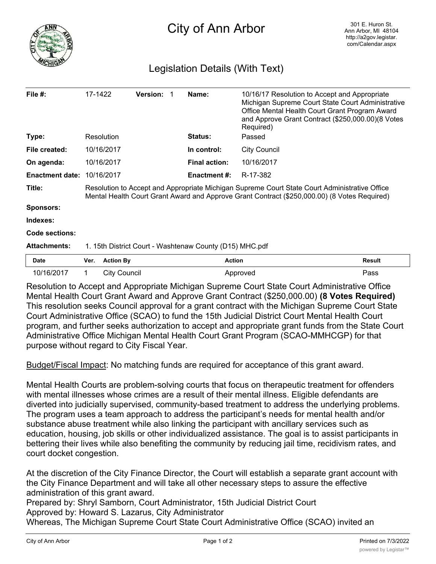

## Legislation Details (With Text)

| File $#$ :             | 17-1422                                                                                                                                                                                       | <b>Version:</b> |  | Name:                | 10/16/17 Resolution to Accept and Appropriate<br>Michigan Supreme Court State Court Administrative<br>Office Mental Health Court Grant Program Award<br>and Approve Grant Contract (\$250,000.00)(8 Votes<br>Required) |  |
|------------------------|-----------------------------------------------------------------------------------------------------------------------------------------------------------------------------------------------|-----------------|--|----------------------|------------------------------------------------------------------------------------------------------------------------------------------------------------------------------------------------------------------------|--|
| Type:                  | Resolution                                                                                                                                                                                    |                 |  | <b>Status:</b>       | Passed                                                                                                                                                                                                                 |  |
| File created:          | 10/16/2017                                                                                                                                                                                    |                 |  | In control:          | <b>City Council</b>                                                                                                                                                                                                    |  |
| On agenda:             | 10/16/2017                                                                                                                                                                                    |                 |  | <b>Final action:</b> | 10/16/2017                                                                                                                                                                                                             |  |
| <b>Enactment date:</b> | 10/16/2017                                                                                                                                                                                    |                 |  | Enactment #:         | R-17-382                                                                                                                                                                                                               |  |
| Title:                 | Resolution to Accept and Appropriate Michigan Supreme Court State Court Administrative Office<br>Mental Health Court Grant Award and Approve Grant Contract (\$250,000.00) (8 Votes Required) |                 |  |                      |                                                                                                                                                                                                                        |  |
| <b>Sponsors:</b>       |                                                                                                                                                                                               |                 |  |                      |                                                                                                                                                                                                                        |  |
| Indexes:               |                                                                                                                                                                                               |                 |  |                      |                                                                                                                                                                                                                        |  |
| <b>Code sections:</b>  |                                                                                                                                                                                               |                 |  |                      |                                                                                                                                                                                                                        |  |
| <b>Attachments:</b>    | 1. 15th District Court - Washtenaw County (D15) MHC.pdf                                                                                                                                       |                 |  |                      |                                                                                                                                                                                                                        |  |
| Date                   | <b>Action By</b><br>Ver.                                                                                                                                                                      |                 |  | <b>Action</b>        | <b>Result</b>                                                                                                                                                                                                          |  |

Resolution to Accept and Appropriate Michigan Supreme Court State Court Administrative Office Mental Health Court Grant Award and Approve Grant Contract (\$250,000.00) **(8 Votes Required)** This resolution seeks Council approval for a grant contract with the Michigan Supreme Court State Court Administrative Office (SCAO) to fund the 15th Judicial District Court Mental Health Court program, and further seeks authorization to accept and appropriate grant funds from the State Court Administrative Office Michigan Mental Health Court Grant Program (SCAO-MMHCGP) for that purpose without regard to City Fiscal Year.

10/16/2017 1 City Council **Approved Pass** 

Budget/Fiscal Impact: No matching funds are required for acceptance of this grant award.

Mental Health Courts are problem-solving courts that focus on therapeutic treatment for offenders with mental illnesses whose crimes are a result of their mental illness. Eligible defendants are diverted into judicially supervised, community-based treatment to address the underlying problems. The program uses a team approach to address the participant's needs for mental health and/or substance abuse treatment while also linking the participant with ancillary services such as education, housing, job skills or other individualized assistance. The goal is to assist participants in bettering their lives while also benefiting the community by reducing jail time, recidivism rates, and court docket congestion.

At the discretion of the City Finance Director, the Court will establish a separate grant account with the City Finance Department and will take all other necessary steps to assure the effective administration of this grant award.

Prepared by: Shryl Samborn, Court Administrator, 15th Judicial District Court Approved by: Howard S. Lazarus, City Administrator

Whereas, The Michigan Supreme Court State Court Administrative Office (SCAO) invited an